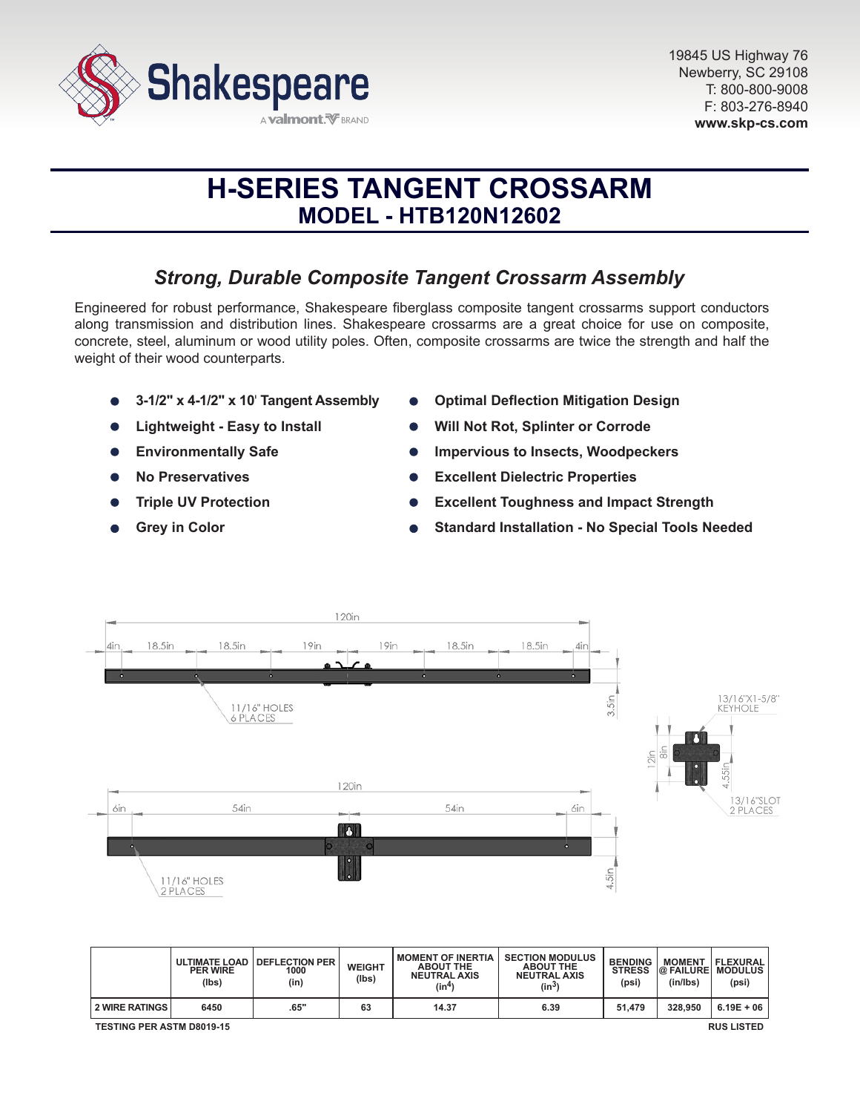

# **H-SERIES TANGENT CROSSARM MODEL - HTB120N12602**

# *Strong, Durable Composite Tangent Crossarm Assembly*

Engineered for robust performance, Shakespeare fiberglass composite tangent crossarms support conductors along transmission and distribution lines. Shakespeare crossarms are a great choice for use on composite, concrete, steel, aluminum or wood utility poles. Often, composite crossarms are twice the strength and half the weight of their wood counterparts.

- **3-1/2" x 4-1/2" x 10**' **Tangent Assembly**
- **Lightweight Easy to Install**
- **Environmentally Safe**  $\bullet$
- **No Preservatives**
- **Triple UV Protection**
- **Grey in Color**
- **Optimal Deflection Mitigation Design**
- **Will Not Rot, Splinter or Corrode**
- **Impervious to Insects, Woodpeckers**
- **Excellent Dielectric Properties**
- **Excellent Toughness and Impact Strength**
- **Standard Installation No Special Tools Needed**



|                                                       | <b>PER WIRE</b><br>(lbs) | ULTIMATE LOAD   DEFLECTION PER<br>1000<br>(in) | <b>WEIGHT</b><br>(lbs) | <b>MOMENT OF INERTIA</b><br><b>ABOUT THE</b><br><b>NEUTRAL AXIS</b><br>(in <sup>4</sup> ) | <b>SECTION MODULUS</b><br><b>ABOUT THE</b><br><b>NEUTRAL AXIS</b><br>$(in^3)$ | <b>BENDING</b><br><b>STRESS</b><br>(psi) | <b>MOMENT</b><br><b>@ FAILURE MODULUS</b><br>(in/lbs) | FLEXURAL<br>(psi) |
|-------------------------------------------------------|--------------------------|------------------------------------------------|------------------------|-------------------------------------------------------------------------------------------|-------------------------------------------------------------------------------|------------------------------------------|-------------------------------------------------------|-------------------|
| <b>2 WIRE RATINGS</b>                                 | 6450                     | .65"                                           | 63                     | 14.37                                                                                     | 6.39                                                                          | 51.479                                   | 328,950                                               | $6.19E + 06$      |
| <b>TESTING PER ASTM D8019-15</b><br><b>RUS LISTED</b> |                          |                                                |                        |                                                                                           |                                                                               |                                          |                                                       |                   |